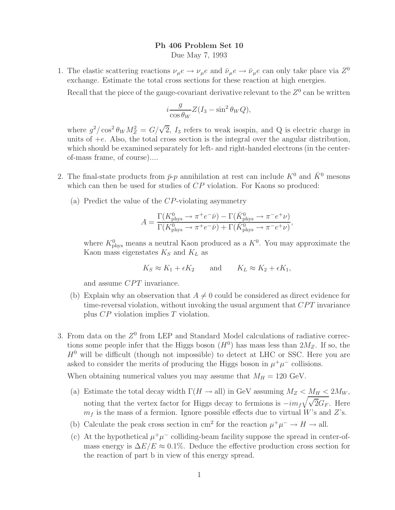## **Ph 406 Problem Set 10**

Due May 7, 1993

1. The elastic scattering reactions  $\nu_{\mu}e \to \nu_{\mu}e$  and  $\bar{\nu}_{\mu}e \to \bar{\nu}_{\mu}e$  can only take place via  $Z^0$ exchange. Estimate the total cross sections for these reaction at high energies.

Recall that the piece of the gauge-covariant derivative relevant to the  $Z<sup>0</sup>$  can be written

$$
i\frac{g}{\cos\theta_W}Z(I_3-\sin^2\theta_WQ),
$$

where  $g^2/\cos^2 \theta_W M_Z^2 = G/\sqrt{2}$ ,  $I_3$  refers to weak isospin, and Q is electric charge in units of  $\pm e$ . Also, the total cross section is the integral over the angular distribution units of  $+e$ . Also, the total cross section is the integral over the angular distribution, which should be examined separately for left- and right-handed electrons (in the centerof-mass frame, of course)....

- 2. The final-state products from  $\bar{p}_p$  annihilation at rest can include  $K^0$  and  $\bar{K}^0$  mesons which can then be used for studies of  $CP$  violation. For Kaons so produced:
	- (a) Predict the value of the  $CP$ -violating asymmetry

$$
A = \frac{\Gamma(K_{\text{phys}}^0 \to \pi^+ e^- \bar{\nu}) - \Gamma(\bar{K}_{\text{phys}}^0 \to \pi^- e^+ \nu)}{\Gamma(K_{\text{phys}}^0 \to \pi^+ e^- \bar{\nu}) + \Gamma(\bar{K}_{\text{phys}}^0 \to \pi^- e^+ \nu)},
$$

where  $K_{\text{phys}}^0$  means a neutral Kaon produced as a  $K^0$ . You may approximate the K<sub>200</sub> mass eigenstates  $K_{\alpha}$  and  $K_{\alpha}$  as Kaon mass eigenstates <sup>K</sup>*<sup>S</sup>* and <sup>K</sup>*<sup>L</sup>* as

$$
K_S \approx K_1 + \epsilon K_2
$$
 and  $K_L \approx K_2 + \epsilon K_1$ ,

and assume CPT invariance.

- (b) Explain why an observation that  $A \neq 0$  could be considered as direct evidence for time-reversal violation, without invoking the usual argument that  $CPT$  invariance plus CP violation implies T violation.
- 3. From data on the  $Z^0$  from LEP and Standard Model calculations of radiative corrections some people infer that the Higgs boson  $(H^0)$  has mass less than  $2M_Z$ . If so, the  $H<sup>0</sup>$  will be difficult (though not impossible) to detect at LHC or SSC. Here you are asked to consider the merits of producing the Higgs boson in  $\mu^+\mu^-$  collisions.

When obtaining numerical values you may assume that  $M_H = 120 \text{ GeV}$ .

- (a) Estimate the total decay width  $\Gamma(H \to \text{all})$  in GeV assuming  $M_Z < M_H < 2M_W$ , noting that the vertex factor for Higgs decay to fermions is  $-i m_f \sqrt{\sqrt{2}G_F}$ . Here  $m_f$  is the mass of a fermion. Ignore possible effects due to virtual W's and Z's  $m_f$  is the mass of a fermion. Ignore possible effects due to virtual W's and Z's.
- (b) Calculate the peak cross section in cm<sup>2</sup> for the reaction  $\mu^+\mu^- \to H \to$  all.
- (c) At the hypothetical  $\mu^+\mu^-$  colliding-beam facility suppose the spread in center-ofmass energy is  $\Delta E/E \approx 0.1\%$ . Deduce the effective production cross section for the reaction of part b in view of this energy spread.